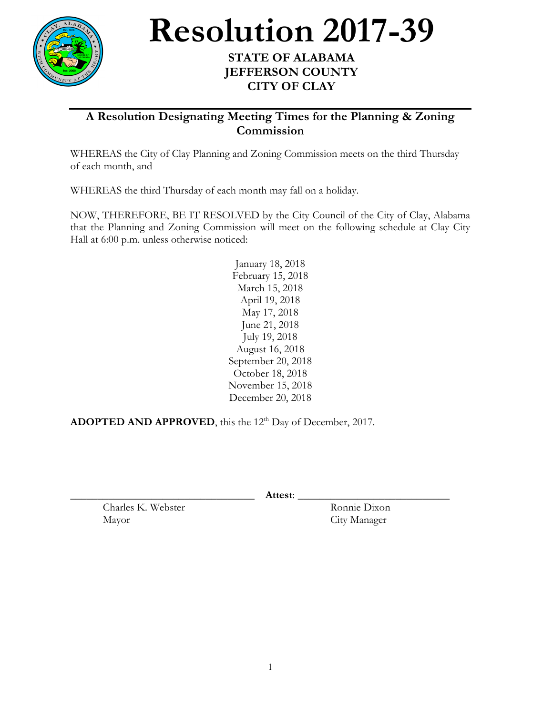

Resolution 2017-39

## **JEFFERSON COUNTY CITY OF CLAY**

**A Resolution Designating Meeting Times for the Planning & Zoning Commission**

WHEREAS the City of Clay Planning and Zoning Commission meets on the third Thursday of each month, and

WHEREAS the third Thursday of each month may fall on a holiday.

NOW, THEREFORE, BE IT RESOLVED by the City Council of the City of Clay, Alabama that the Planning and Zoning Commission will meet on the following schedule at Clay City Hall at 6:00 p.m. unless otherwise noticed:

> January 18, 2018 February 15, 2018 March 15, 2018 April 19, 2018 May 17, 2018 June 21, 2018 July 19, 2018 August 16, 2018 September 20, 2018 October 18, 2018 November 15, 2018 December 20, 2018

ADOPTED AND APPROVED, this the 12<sup>th</sup> Day of December, 2017.

\_\_\_\_\_\_\_\_\_\_\_\_\_\_\_\_\_\_\_\_\_\_\_\_\_\_\_\_\_\_\_\_\_\_ **Attest**: \_\_\_\_\_\_\_\_\_\_\_\_\_\_\_\_\_\_\_\_\_\_\_\_\_\_\_\_

Charles K. Webster Ronnie Dixon Mayor City Manager